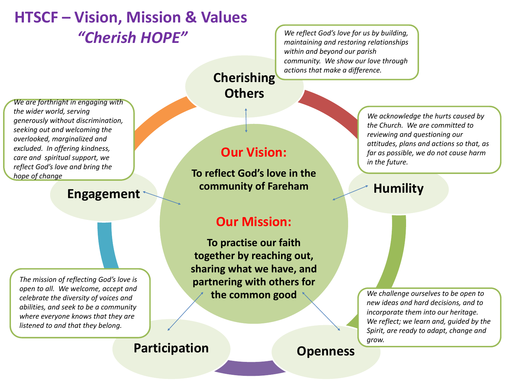# **HTSCF – Vision, Mission & Values** *"Cherish HOPE"*

*We reflect God's love for us by building, maintaining and restoring relationships within and beyond our parish community. We show our love through actions that make a difference.*

*We are forthright in engaging with the wider world, serving generously without discrimination, seeking out and welcoming the overlooked, marginalized and excluded. In offering kindness, care and spiritual support, we reflect God's love and bring the hope of change*

### **Engagement**

*The mission of reflecting God's love is open to all. We welcome, accept and celebrate the diversity of voices and abilities, and seek to be a community where everyone knows that they are listened to and that they belong.*

#### **Our Vision:**

**Cherishing** 

**Others**

**To reflect God's love in the community of Fareham**

#### **Our Mission:**

**To practise our faith together by reaching out, sharing what we have, and partnering with others for the common good**

*We acknowledge the hurts caused by the Church. We are committed to reviewing and questioning our attitudes, plans and actions so that, as far as possible, we do not cause harm in the future.*

# **Humility**

*We challenge ourselves to be open to new ideas and hard decisions, and to incorporate them into our heritage. We reflect; we learn and, guided by the Spirit, are ready to adapt, change and grow.* 

# **Participation Openness**